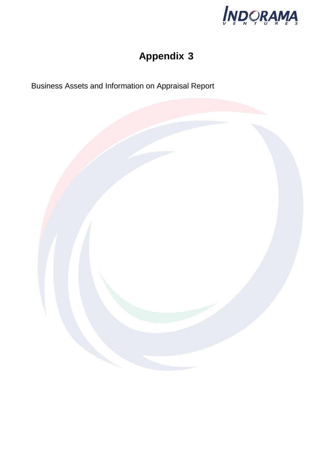

# **Appendix 3**

Business Assets and Information on Appraisal Report

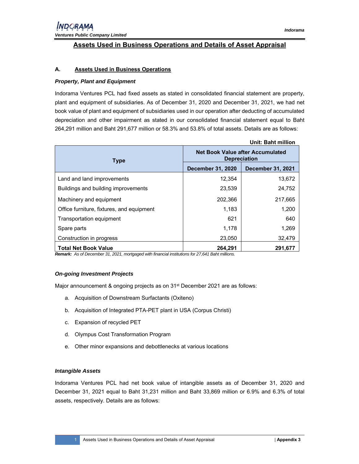### **Assets Used in Business Operations and Details of Asset Appraisal**

#### **A. Assets Used in Business Operations**

#### *Property, Plant and Equipment*

Indorama Ventures PCL had fixed assets as stated in consolidated financial statement are property, plant and equipment of subsidiaries. As of December 31, 2020 and December 31, 2021, we had net book value of plant and equipment of subsidiaries used in our operation after deducting of accumulated depreciation and other impairment as stated in our consolidated financial statement equal to Baht 264,291 million and Baht 291,677 million or 58.3% and 53.8% of total assets. Details are as follows:

|                                           |                                                         | <b>Unit: Baht million</b> |  |
|-------------------------------------------|---------------------------------------------------------|---------------------------|--|
| <b>Type</b>                               | Net Book Value after Accumulated<br><b>Depreciation</b> |                           |  |
|                                           | <b>December 31, 2020</b>                                | <b>December 31, 2021</b>  |  |
| Land and land improvements                | 12,354                                                  | 13,672                    |  |
| Buildings and building improvements       | 23,539                                                  | 24,752                    |  |
| Machinery and equipment                   | 202,366                                                 | 217,665                   |  |
| Office furniture, fixtures, and equipment | 1,183                                                   | 1,200                     |  |
| Transportation equipment                  | 621                                                     | 640                       |  |
| Spare parts                               | 1,178                                                   | 1,269                     |  |
| Construction in progress                  | 23,050                                                  | 32,479                    |  |
| <b>Total Net Book Value</b>               | 264.291                                                 | 291,677                   |  |

*Remark: As of December 31, 2021, mortgaged with financial institutions for 27,641 Baht millions.* 

#### *On-going Investment Projects*

Major announcement & ongoing projects as on 31<sup>st</sup> December 2021 are as follows:

- a. Acquisition of Downstream Surfactants (Oxiteno)
- b. Acquisition of Integrated PTA-PET plant in USA (Corpus Christi)
- c. Expansion of recycled PET
- d. Olympus Cost Transformation Program
- e. Other minor expansions and debottlenecks at various locations

#### *Intangible Assets*

Indorama Ventures PCL had net book value of intangible assets as of December 31, 2020 and December 31, 2021 equal to Baht 31,231 million and Baht 33,869 million or 6.9% and 6.3% of total assets, respectively. Details are as follows: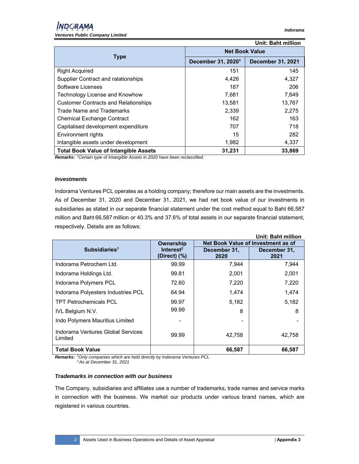| Unit: Baht million                           |                                |                          |  |  |
|----------------------------------------------|--------------------------------|--------------------------|--|--|
|                                              | <b>Net Book Value</b>          |                          |  |  |
| <b>Type</b>                                  | December 31, 2020 <sup>1</sup> | <b>December 31, 2021</b> |  |  |
| <b>Right Acquired</b>                        | 151                            | 145                      |  |  |
| Supplier Contract and ralationships          | 4,426                          | 4,327                    |  |  |
| Software Licenses                            | 187                            | 206                      |  |  |
| Technology License and Knowhow               | 7,681                          | 7,649                    |  |  |
| <b>Customer Contracts and Relationships</b>  | 13,581                         | 13,767                   |  |  |
| Trade Name and Trademarks                    | 2,339                          | 2,275                    |  |  |
| <b>Chemical Exchange Contract</b>            | 162                            | 163                      |  |  |
| Capitalised development expenditure          | 707                            | 718                      |  |  |
| Environment rights                           | 15                             | 282                      |  |  |
| Intangible assets under development          | 1,982                          | 4,337                    |  |  |
| <b>Total Book Value of Intangible Assets</b> | 31,231                         | 33,869                   |  |  |

*Remarks: <sup>1</sup> Certain type of Intangible Assets in 2020 have been reclassified.*

#### *Investments*

Indorama Ventures PCL operates as a holding company; therefore our main assets are the investments. As of December 31, 2020 and December 31, 2021, we had net book value of our investments in subsidiaries as stated in our separate financial statement under the cost method equal to Baht 66,587 million and Baht 66,587 million or 40.3% and 37.6% of total assets in our separate financial statement, respectively. Details are as follows:

|                                              |                                       |                                    | <b>Unit: Baht million</b> |
|----------------------------------------------|---------------------------------------|------------------------------------|---------------------------|
|                                              | Ownership                             | Net Book Value of Investment as of |                           |
| Subsidiaries <sup>1</sup>                    | Interest <sup>2</sup><br>(Direct) (%) | December 31,<br>2020               | December 31,<br>2021      |
| Indorama Petrochem Ltd.                      | 99.99                                 | 7,944                              | 7,944                     |
| Indorama Holdings Ltd.                       | 99.81                                 | 2,001                              | 2,001                     |
| Indorama Polymers PCL                        | 72.60                                 | 7,220                              | 7,220                     |
| Indorama Polyesters Industries PCL           | 64.94                                 | 1,474                              | 1,474                     |
| <b>TPT Petrochemicals PCL</b>                | 99.97                                 | 5,182                              | 5,182                     |
| <b>IVL Belgium N.V.</b>                      | 99.99                                 | 8                                  | 8                         |
| Indo Polymers Mauritius Limited              |                                       | -                                  |                           |
| Indorama Ventures Global Services<br>Limited | 99.99                                 | 42.758                             | 42.758                    |
| <b>Total Book Value</b>                      |                                       | 66,587                             | 66,587                    |

*Remarks: <sup>1</sup> Only companies which are held directly by Indorama Ventures PCL 2 As at December 31, 2021* 

#### *Trademarks in connection with our business*

The Company, subsidiaries and affiliates use a number of trademarks, trade names and service marks in connection with the business. We market our products under various brand names, which are registered in various countries.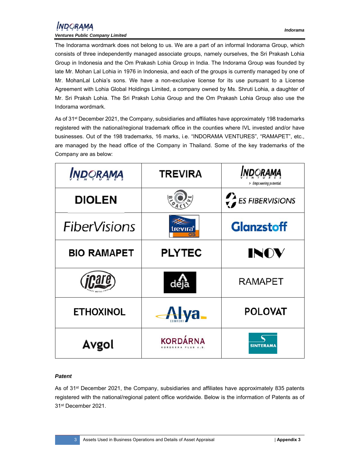The Indorama wordmark does not belong to us. We are a part of an informal Indorama Group, which consists of three independently managed associate groups, namely ourselves, the Sri Prakash Lohia Group in Indonesia and the Om Prakash Lohia Group in India. The Indorama Group was founded by late Mr. Mohan Lal Lohia in 1976 in Indonesia, and each of the groups is currently managed by one of Mr. MohanLal Lohia's sons. We have a non-exclusive license for its use pursuant to a License Agreement with Lohia Global Holdings Limited, a company owned by Ms. Shruti Lohia, a daughter of

Mr. Sri Praksh Lohia. The Sri Praksh Lohia Group and the Om Prakash Lohia Group also use the Indorama wordmark.

As of 31<sup>st</sup> December 2021, the Company, subsidiaries and affiliates have approximately 198 trademarks registered with the national/regional trademark office in the counties where IVL invested and/or have businesses. Out of the 198 trademarks, 16 marks, i.e. "INDORAMA VENTURES", "RAMAPET", etc., are managed by the head office of the Company in Thailand. Some of the key trademarks of the Company are as below:

| INDORAMA            | <b>TREVIRA</b>  | <b>RAMA</b><br>> Empowering potential. |
|---------------------|-----------------|----------------------------------------|
| <b>DIOLEN</b>       |                 | $\sum$ ES FIBERVISIONS                 |
| <b>FiberVisions</b> | trevıra°        | <b>Glanzstoff</b>                      |
| <b>BIO RAMAPET</b>  | <b>PLYTEC</b>   | INOV                                   |
|                     | deja            | <b>RAMAPET</b>                         |
| <b>ETHOXINOL</b>    | Alya_           | <b>POLOVAT</b>                         |
| Avgol               | <b>KORDÁRNA</b> | <b>SINTERAMA</b>                       |

#### *Patent*

As of 31st December 2021, the Company, subsidiaries and affiliates have approximately 835 patents registered with the national/regional patent office worldwide. Below is the information of Patents as of 31st December 2021.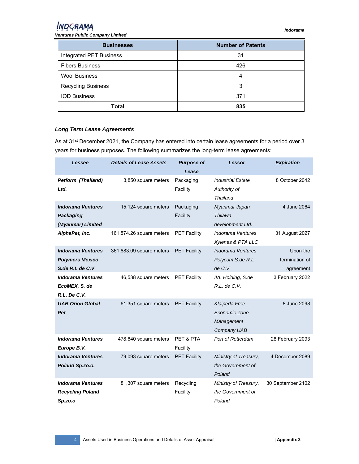## **INDORAMA**

*Ventures Public Company Limited* 

| <b>Businesses</b>         | <b>Number of Patents</b> |
|---------------------------|--------------------------|
| Integrated PET Business   | 31                       |
| <b>Fibers Business</b>    | 426                      |
| <b>Wool Business</b>      | 4                        |
| <b>Recycling Business</b> | 3                        |
| <b>IOD Business</b>       | 371                      |
| Total                     | 835                      |

#### *Long Term Lease Agreements*

As at 31<sup>st</sup> December 2021, the Company has entered into certain lease agreements for a period over 3 years for business purposes. The following summarizes the long-term lease agreements:

| Lessee                                                            | <b>Details of Lease Assets</b> | <b>Purpose of</b>     | Lessor                                                      | <b>Expiration</b> |
|-------------------------------------------------------------------|--------------------------------|-----------------------|-------------------------------------------------------------|-------------------|
|                                                                   |                                | Lease                 |                                                             |                   |
| <b>Petform (Thailand)</b><br>Ltd.                                 | 3,850 square meters            | Packaging<br>Facility | <b>Industrial Estate</b><br>Authority of<br>Thailand        | 8 October 2042    |
| <b>Indorama Ventures</b><br><b>Packaging</b><br>(Myanmar) Limited | 15,124 square meters           | Packaging<br>Facility | Myanmar Japan<br>Thilawa<br>development Ltd.                | 4 June 2064       |
| AlphaPet, Inc.                                                    | 161,874.26 square meters       | <b>PET Facility</b>   | Indorama Ventures<br>Xylenes & PTA LLC                      | 31 August 2027    |
| <b>Indorama Ventures</b>                                          | 361,683.09 square meters       | <b>PET Facility</b>   | <b>Indorama Ventures</b>                                    | Upon the          |
| <b>Polymers Mexico</b>                                            |                                |                       | Polycom S.de R.L                                            | termination of    |
| S.de $R.L$ de $C.V$                                               |                                |                       | de C.V                                                      | agreement         |
| <b>Indorama Ventures</b><br>EcoMEX, S. de                         | 46,538 square meters           | <b>PET Facility</b>   | IVL Holding, S.de<br>R.L. de C.V.                           | 3 February 2022   |
| R.L. De C.V.                                                      |                                |                       |                                                             |                   |
| <b>UAB Orion Global</b><br>Pet                                    | 61,351 square meters           | <b>PET Facility</b>   | Klaipeda Free<br>Economic Zone<br>Management<br>Company UAB | 8 June 2098       |
| <b>Indorama Ventures</b><br>Europe B.V.                           | 478,640 square meters          | PET & PTA<br>Facility | Port of Rotterdam                                           | 28 February 2093  |
| <b>Indorama Ventures</b><br>Poland Sp.zo.o.                       | 79,093 square meters           | <b>PET Facility</b>   | Ministry of Treasury,<br>the Government of<br>Poland        | 4 December 2089   |
| <b>Indorama Ventures</b><br><b>Recycling Poland</b><br>Sp.zo.o    | 81,307 square meters           | Recycling<br>Facility | Ministry of Treasury,<br>the Government of<br>Poland        | 30 September 2102 |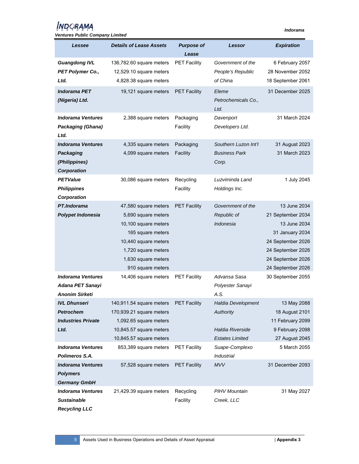## *INDORAMA*

| <b>Details of Lease Assets</b><br><b>Purpose of</b><br><b>Expiration</b><br>Lessee<br>Lessor<br>Lease<br><b>Guangdong IVL</b><br>6 February 2057<br>136,782.60 square meters<br><b>PET Facility</b><br>Government of the<br>28 November 2052<br>PET Polymer Co.,<br>12,529.10 square meters<br>People's Republic<br>Ltd.<br>4,828.38 square meters<br>of China<br>18 September 2061<br><b>Indorama PET</b><br>31 December 2025<br>19,121 square meters<br><b>PET Facility</b><br>Eleme<br>(Nigeria) Ltd.<br>Petrochemicals Co.,<br>Ltd.<br><b>Indorama Ventures</b><br>2,388 square meters<br>31 March 2024<br>Packaging<br>Davenport<br>Facility<br><b>Packaging (Ghana)</b><br>Developers Ltd.<br>Ltd.<br><b>Indorama Ventures</b><br>Packaging<br>Southern Luzon Int'l<br>31 August 2023<br>4,335 square meters<br>4,099 square meters<br>Facility<br><b>Business Park</b><br>31 March 2023<br><b>Packaging</b><br>(Philippines)<br>Corp.<br>Corporation<br><b>PETValue</b><br>30,086 square meters<br>Recycling<br>Luzviminda Land<br>1 July 2045<br>Facility<br><b>Philippines</b><br>Holdings Inc.<br>Corporation<br>PT.Indorama<br>13 June 2034<br>47,580 square meters<br><b>PET Facility</b><br>Government of the<br>Polypet Indonesia<br>Republic of<br>21 September 2034<br>5,690 square meters<br>Indonesia<br>13 June 2034<br>10,100 square meters<br>165 square meters<br>31 January 2034<br>10,440 square meters<br>24 September 2026<br>1,720 square meters<br>24 September 2026<br>1,630 square meters<br>24 September 2026<br>910 square meters<br>24 September 2026<br><b>Indorama Ventures</b><br>14,406 square meters<br><b>PET Facility</b><br>Advansa Sasa<br>30 September 2055<br>Adana PET Sanayi<br>Polyester Sanayi<br>A.S.<br><b>Anonim Sirketi</b><br><b>IVL Dhunseri</b><br>140,911.54 square meters<br><b>PET Facility</b><br>Haldia Development<br>13 May 2088<br><b>Petrochem</b><br>18 August 2101<br>170,939.21 square meters<br>Authority<br><b>Industries Private</b><br>1,092.65 square meters<br>11 February 2099<br>9 February 2098<br>Ltd.<br>10,845.57 square meters<br>Haldia Riverside<br><b>Estates Limited</b><br>10,845.57 square meters<br>27 August 2045<br>5 March 2055<br><b>Indorama Ventures</b><br>853,389 square meters<br><b>PET Facility</b><br>Suape-Complexo |
|-------------------------------------------------------------------------------------------------------------------------------------------------------------------------------------------------------------------------------------------------------------------------------------------------------------------------------------------------------------------------------------------------------------------------------------------------------------------------------------------------------------------------------------------------------------------------------------------------------------------------------------------------------------------------------------------------------------------------------------------------------------------------------------------------------------------------------------------------------------------------------------------------------------------------------------------------------------------------------------------------------------------------------------------------------------------------------------------------------------------------------------------------------------------------------------------------------------------------------------------------------------------------------------------------------------------------------------------------------------------------------------------------------------------------------------------------------------------------------------------------------------------------------------------------------------------------------------------------------------------------------------------------------------------------------------------------------------------------------------------------------------------------------------------------------------------------------------------------------------------------------------------------------------------------------------------------------------------------------------------------------------------------------------------------------------------------------------------------------------------------------------------------------------------------------------------------------------------------------------------------------------------------------------------------------------------------|
|                                                                                                                                                                                                                                                                                                                                                                                                                                                                                                                                                                                                                                                                                                                                                                                                                                                                                                                                                                                                                                                                                                                                                                                                                                                                                                                                                                                                                                                                                                                                                                                                                                                                                                                                                                                                                                                                                                                                                                                                                                                                                                                                                                                                                                                                                                                         |
|                                                                                                                                                                                                                                                                                                                                                                                                                                                                                                                                                                                                                                                                                                                                                                                                                                                                                                                                                                                                                                                                                                                                                                                                                                                                                                                                                                                                                                                                                                                                                                                                                                                                                                                                                                                                                                                                                                                                                                                                                                                                                                                                                                                                                                                                                                                         |
|                                                                                                                                                                                                                                                                                                                                                                                                                                                                                                                                                                                                                                                                                                                                                                                                                                                                                                                                                                                                                                                                                                                                                                                                                                                                                                                                                                                                                                                                                                                                                                                                                                                                                                                                                                                                                                                                                                                                                                                                                                                                                                                                                                                                                                                                                                                         |
|                                                                                                                                                                                                                                                                                                                                                                                                                                                                                                                                                                                                                                                                                                                                                                                                                                                                                                                                                                                                                                                                                                                                                                                                                                                                                                                                                                                                                                                                                                                                                                                                                                                                                                                                                                                                                                                                                                                                                                                                                                                                                                                                                                                                                                                                                                                         |
|                                                                                                                                                                                                                                                                                                                                                                                                                                                                                                                                                                                                                                                                                                                                                                                                                                                                                                                                                                                                                                                                                                                                                                                                                                                                                                                                                                                                                                                                                                                                                                                                                                                                                                                                                                                                                                                                                                                                                                                                                                                                                                                                                                                                                                                                                                                         |
|                                                                                                                                                                                                                                                                                                                                                                                                                                                                                                                                                                                                                                                                                                                                                                                                                                                                                                                                                                                                                                                                                                                                                                                                                                                                                                                                                                                                                                                                                                                                                                                                                                                                                                                                                                                                                                                                                                                                                                                                                                                                                                                                                                                                                                                                                                                         |
|                                                                                                                                                                                                                                                                                                                                                                                                                                                                                                                                                                                                                                                                                                                                                                                                                                                                                                                                                                                                                                                                                                                                                                                                                                                                                                                                                                                                                                                                                                                                                                                                                                                                                                                                                                                                                                                                                                                                                                                                                                                                                                                                                                                                                                                                                                                         |
|                                                                                                                                                                                                                                                                                                                                                                                                                                                                                                                                                                                                                                                                                                                                                                                                                                                                                                                                                                                                                                                                                                                                                                                                                                                                                                                                                                                                                                                                                                                                                                                                                                                                                                                                                                                                                                                                                                                                                                                                                                                                                                                                                                                                                                                                                                                         |
|                                                                                                                                                                                                                                                                                                                                                                                                                                                                                                                                                                                                                                                                                                                                                                                                                                                                                                                                                                                                                                                                                                                                                                                                                                                                                                                                                                                                                                                                                                                                                                                                                                                                                                                                                                                                                                                                                                                                                                                                                                                                                                                                                                                                                                                                                                                         |
|                                                                                                                                                                                                                                                                                                                                                                                                                                                                                                                                                                                                                                                                                                                                                                                                                                                                                                                                                                                                                                                                                                                                                                                                                                                                                                                                                                                                                                                                                                                                                                                                                                                                                                                                                                                                                                                                                                                                                                                                                                                                                                                                                                                                                                                                                                                         |
|                                                                                                                                                                                                                                                                                                                                                                                                                                                                                                                                                                                                                                                                                                                                                                                                                                                                                                                                                                                                                                                                                                                                                                                                                                                                                                                                                                                                                                                                                                                                                                                                                                                                                                                                                                                                                                                                                                                                                                                                                                                                                                                                                                                                                                                                                                                         |
|                                                                                                                                                                                                                                                                                                                                                                                                                                                                                                                                                                                                                                                                                                                                                                                                                                                                                                                                                                                                                                                                                                                                                                                                                                                                                                                                                                                                                                                                                                                                                                                                                                                                                                                                                                                                                                                                                                                                                                                                                                                                                                                                                                                                                                                                                                                         |
|                                                                                                                                                                                                                                                                                                                                                                                                                                                                                                                                                                                                                                                                                                                                                                                                                                                                                                                                                                                                                                                                                                                                                                                                                                                                                                                                                                                                                                                                                                                                                                                                                                                                                                                                                                                                                                                                                                                                                                                                                                                                                                                                                                                                                                                                                                                         |
|                                                                                                                                                                                                                                                                                                                                                                                                                                                                                                                                                                                                                                                                                                                                                                                                                                                                                                                                                                                                                                                                                                                                                                                                                                                                                                                                                                                                                                                                                                                                                                                                                                                                                                                                                                                                                                                                                                                                                                                                                                                                                                                                                                                                                                                                                                                         |
|                                                                                                                                                                                                                                                                                                                                                                                                                                                                                                                                                                                                                                                                                                                                                                                                                                                                                                                                                                                                                                                                                                                                                                                                                                                                                                                                                                                                                                                                                                                                                                                                                                                                                                                                                                                                                                                                                                                                                                                                                                                                                                                                                                                                                                                                                                                         |
|                                                                                                                                                                                                                                                                                                                                                                                                                                                                                                                                                                                                                                                                                                                                                                                                                                                                                                                                                                                                                                                                                                                                                                                                                                                                                                                                                                                                                                                                                                                                                                                                                                                                                                                                                                                                                                                                                                                                                                                                                                                                                                                                                                                                                                                                                                                         |
|                                                                                                                                                                                                                                                                                                                                                                                                                                                                                                                                                                                                                                                                                                                                                                                                                                                                                                                                                                                                                                                                                                                                                                                                                                                                                                                                                                                                                                                                                                                                                                                                                                                                                                                                                                                                                                                                                                                                                                                                                                                                                                                                                                                                                                                                                                                         |
|                                                                                                                                                                                                                                                                                                                                                                                                                                                                                                                                                                                                                                                                                                                                                                                                                                                                                                                                                                                                                                                                                                                                                                                                                                                                                                                                                                                                                                                                                                                                                                                                                                                                                                                                                                                                                                                                                                                                                                                                                                                                                                                                                                                                                                                                                                                         |
|                                                                                                                                                                                                                                                                                                                                                                                                                                                                                                                                                                                                                                                                                                                                                                                                                                                                                                                                                                                                                                                                                                                                                                                                                                                                                                                                                                                                                                                                                                                                                                                                                                                                                                                                                                                                                                                                                                                                                                                                                                                                                                                                                                                                                                                                                                                         |
|                                                                                                                                                                                                                                                                                                                                                                                                                                                                                                                                                                                                                                                                                                                                                                                                                                                                                                                                                                                                                                                                                                                                                                                                                                                                                                                                                                                                                                                                                                                                                                                                                                                                                                                                                                                                                                                                                                                                                                                                                                                                                                                                                                                                                                                                                                                         |
|                                                                                                                                                                                                                                                                                                                                                                                                                                                                                                                                                                                                                                                                                                                                                                                                                                                                                                                                                                                                                                                                                                                                                                                                                                                                                                                                                                                                                                                                                                                                                                                                                                                                                                                                                                                                                                                                                                                                                                                                                                                                                                                                                                                                                                                                                                                         |
|                                                                                                                                                                                                                                                                                                                                                                                                                                                                                                                                                                                                                                                                                                                                                                                                                                                                                                                                                                                                                                                                                                                                                                                                                                                                                                                                                                                                                                                                                                                                                                                                                                                                                                                                                                                                                                                                                                                                                                                                                                                                                                                                                                                                                                                                                                                         |
|                                                                                                                                                                                                                                                                                                                                                                                                                                                                                                                                                                                                                                                                                                                                                                                                                                                                                                                                                                                                                                                                                                                                                                                                                                                                                                                                                                                                                                                                                                                                                                                                                                                                                                                                                                                                                                                                                                                                                                                                                                                                                                                                                                                                                                                                                                                         |
|                                                                                                                                                                                                                                                                                                                                                                                                                                                                                                                                                                                                                                                                                                                                                                                                                                                                                                                                                                                                                                                                                                                                                                                                                                                                                                                                                                                                                                                                                                                                                                                                                                                                                                                                                                                                                                                                                                                                                                                                                                                                                                                                                                                                                                                                                                                         |
|                                                                                                                                                                                                                                                                                                                                                                                                                                                                                                                                                                                                                                                                                                                                                                                                                                                                                                                                                                                                                                                                                                                                                                                                                                                                                                                                                                                                                                                                                                                                                                                                                                                                                                                                                                                                                                                                                                                                                                                                                                                                                                                                                                                                                                                                                                                         |
|                                                                                                                                                                                                                                                                                                                                                                                                                                                                                                                                                                                                                                                                                                                                                                                                                                                                                                                                                                                                                                                                                                                                                                                                                                                                                                                                                                                                                                                                                                                                                                                                                                                                                                                                                                                                                                                                                                                                                                                                                                                                                                                                                                                                                                                                                                                         |
|                                                                                                                                                                                                                                                                                                                                                                                                                                                                                                                                                                                                                                                                                                                                                                                                                                                                                                                                                                                                                                                                                                                                                                                                                                                                                                                                                                                                                                                                                                                                                                                                                                                                                                                                                                                                                                                                                                                                                                                                                                                                                                                                                                                                                                                                                                                         |
|                                                                                                                                                                                                                                                                                                                                                                                                                                                                                                                                                                                                                                                                                                                                                                                                                                                                                                                                                                                                                                                                                                                                                                                                                                                                                                                                                                                                                                                                                                                                                                                                                                                                                                                                                                                                                                                                                                                                                                                                                                                                                                                                                                                                                                                                                                                         |
|                                                                                                                                                                                                                                                                                                                                                                                                                                                                                                                                                                                                                                                                                                                                                                                                                                                                                                                                                                                                                                                                                                                                                                                                                                                                                                                                                                                                                                                                                                                                                                                                                                                                                                                                                                                                                                                                                                                                                                                                                                                                                                                                                                                                                                                                                                                         |
|                                                                                                                                                                                                                                                                                                                                                                                                                                                                                                                                                                                                                                                                                                                                                                                                                                                                                                                                                                                                                                                                                                                                                                                                                                                                                                                                                                                                                                                                                                                                                                                                                                                                                                                                                                                                                                                                                                                                                                                                                                                                                                                                                                                                                                                                                                                         |
|                                                                                                                                                                                                                                                                                                                                                                                                                                                                                                                                                                                                                                                                                                                                                                                                                                                                                                                                                                                                                                                                                                                                                                                                                                                                                                                                                                                                                                                                                                                                                                                                                                                                                                                                                                                                                                                                                                                                                                                                                                                                                                                                                                                                                                                                                                                         |
|                                                                                                                                                                                                                                                                                                                                                                                                                                                                                                                                                                                                                                                                                                                                                                                                                                                                                                                                                                                                                                                                                                                                                                                                                                                                                                                                                                                                                                                                                                                                                                                                                                                                                                                                                                                                                                                                                                                                                                                                                                                                                                                                                                                                                                                                                                                         |
|                                                                                                                                                                                                                                                                                                                                                                                                                                                                                                                                                                                                                                                                                                                                                                                                                                                                                                                                                                                                                                                                                                                                                                                                                                                                                                                                                                                                                                                                                                                                                                                                                                                                                                                                                                                                                                                                                                                                                                                                                                                                                                                                                                                                                                                                                                                         |
|                                                                                                                                                                                                                                                                                                                                                                                                                                                                                                                                                                                                                                                                                                                                                                                                                                                                                                                                                                                                                                                                                                                                                                                                                                                                                                                                                                                                                                                                                                                                                                                                                                                                                                                                                                                                                                                                                                                                                                                                                                                                                                                                                                                                                                                                                                                         |
|                                                                                                                                                                                                                                                                                                                                                                                                                                                                                                                                                                                                                                                                                                                                                                                                                                                                                                                                                                                                                                                                                                                                                                                                                                                                                                                                                                                                                                                                                                                                                                                                                                                                                                                                                                                                                                                                                                                                                                                                                                                                                                                                                                                                                                                                                                                         |
| Polimeros S.A.<br>Industrial                                                                                                                                                                                                                                                                                                                                                                                                                                                                                                                                                                                                                                                                                                                                                                                                                                                                                                                                                                                                                                                                                                                                                                                                                                                                                                                                                                                                                                                                                                                                                                                                                                                                                                                                                                                                                                                                                                                                                                                                                                                                                                                                                                                                                                                                                            |
| <b>PET Facility</b><br><b>MVV</b><br>31 December 2093<br><b>Indorama Ventures</b><br>57,528 square meters                                                                                                                                                                                                                                                                                                                                                                                                                                                                                                                                                                                                                                                                                                                                                                                                                                                                                                                                                                                                                                                                                                                                                                                                                                                                                                                                                                                                                                                                                                                                                                                                                                                                                                                                                                                                                                                                                                                                                                                                                                                                                                                                                                                                               |
| <b>Polymers</b>                                                                                                                                                                                                                                                                                                                                                                                                                                                                                                                                                                                                                                                                                                                                                                                                                                                                                                                                                                                                                                                                                                                                                                                                                                                                                                                                                                                                                                                                                                                                                                                                                                                                                                                                                                                                                                                                                                                                                                                                                                                                                                                                                                                                                                                                                                         |
| <b>Germany GmbH</b>                                                                                                                                                                                                                                                                                                                                                                                                                                                                                                                                                                                                                                                                                                                                                                                                                                                                                                                                                                                                                                                                                                                                                                                                                                                                                                                                                                                                                                                                                                                                                                                                                                                                                                                                                                                                                                                                                                                                                                                                                                                                                                                                                                                                                                                                                                     |
| <b>Indorama Ventures</b><br>Recycling<br>PIHV Mountain<br>21,429.39 square meters<br>31 May 2027                                                                                                                                                                                                                                                                                                                                                                                                                                                                                                                                                                                                                                                                                                                                                                                                                                                                                                                                                                                                                                                                                                                                                                                                                                                                                                                                                                                                                                                                                                                                                                                                                                                                                                                                                                                                                                                                                                                                                                                                                                                                                                                                                                                                                        |
|                                                                                                                                                                                                                                                                                                                                                                                                                                                                                                                                                                                                                                                                                                                                                                                                                                                                                                                                                                                                                                                                                                                                                                                                                                                                                                                                                                                                                                                                                                                                                                                                                                                                                                                                                                                                                                                                                                                                                                                                                                                                                                                                                                                                                                                                                                                         |
| Facility<br><b>Sustainable</b><br>Creek, LLC                                                                                                                                                                                                                                                                                                                                                                                                                                                                                                                                                                                                                                                                                                                                                                                                                                                                                                                                                                                                                                                                                                                                                                                                                                                                                                                                                                                                                                                                                                                                                                                                                                                                                                                                                                                                                                                                                                                                                                                                                                                                                                                                                                                                                                                                            |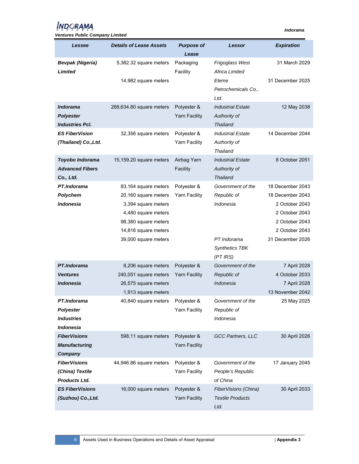| <b>Ventures Public Company Limited</b>                            |                                                                                                                                            |                                     |                                                                           |                                                                                                              |
|-------------------------------------------------------------------|--------------------------------------------------------------------------------------------------------------------------------------------|-------------------------------------|---------------------------------------------------------------------------|--------------------------------------------------------------------------------------------------------------|
| Lessee                                                            | <b>Details of Lease Assets</b>                                                                                                             | <b>Purpose of</b><br>Lease          | Lessor                                                                    | <b>Expiration</b>                                                                                            |
| <b>Bevpak (Nigeria)</b><br>Limited                                | 5,382.32 square meters<br>14,982 square meters                                                                                             | Packaging<br>Facility               | Frigoglass West<br>Africa Limited<br>Eleme<br>Petrochemicals Co.,<br>Ltd. | 31 March 2029<br>31 December 2025                                                                            |
| <b>Indorama</b><br><b>Polyester</b><br><b>Industries Pcl.</b>     | 268,634.80 square meters                                                                                                                   | Polyester &<br><b>Yarn Facility</b> | <b>Industrial Estate</b><br>Authority of<br><b>Thailand</b>               | 12 May 2038                                                                                                  |
| <b>ES FiberVision</b><br>(Thailand) Co., Ltd.                     | 32,356 square meters                                                                                                                       | Polyester &<br><b>Yarn Facility</b> | <b>Industrial Estate</b><br>Authority of<br><b>Thailand</b>               | 14 December 2044                                                                                             |
| Toyobo Indorama<br><b>Advanced Fibers</b><br>Co., Ltd.            | 15,159.20 square meters                                                                                                                    | Airbag Yarn<br>Facility             | <b>Industrial Estate</b><br>Authority of<br><b>Thailand</b>               | 8 October 2051                                                                                               |
| PT.Indorama<br>Polychem<br><i><b>Indonesia</b></i>                | 83,164 square meters<br>20,160 square meters<br>3,394 square meters<br>4,480 square meters<br>98,380 square meters<br>14,816 square meters | Polyester &<br><b>Yarn Facility</b> | Government of the<br>Republic of<br>Indonesia                             | 18 December 2043<br>18 December 2043<br>2 October 2043<br>2 October 2043<br>2 October 2043<br>2 October 2043 |
|                                                                   | 39,000 square meters                                                                                                                       |                                     | PT Indorama<br><b>Synthetics TBK</b><br>$(PT$ IRS)                        | 31 December 2026                                                                                             |
| PT.Indorama<br><b>Ventures</b><br>Indonesia                       | 8,206 square meters<br>240,051 square meters<br>26,575 square meters<br>1,913 square meters                                                | Polyester &<br><b>Yarn Facility</b> | Government of the<br>Republic of<br>Indonesia                             | 7 April 2028<br>4 October 2033<br>7 April 2028<br>13 November 2042                                           |
| PT.Indorama<br><b>Polyester</b><br><b>Industries</b><br>Indonesia | 40,840 square meters                                                                                                                       | Polyester &<br><b>Yarn Facility</b> | Government of the<br>Republic of<br>Indonesia                             | 25 May 2025                                                                                                  |
| <b>FiberVisions</b><br><b>Manufacturing</b><br>Company            | 598.11 square meters                                                                                                                       | Polyester &<br><b>Yarn Facility</b> | GCC Partners, LLC                                                         | 30 April 2026                                                                                                |
| <b>FiberVisions</b><br>(China) Textile<br><b>Products Ltd.</b>    | 44,946.86 square meters                                                                                                                    | Polyester &<br><b>Yarn Facility</b> | Government of the<br>People's Republic<br>of China                        | 17 January 2045                                                                                              |
| <b>ES FiberVisions</b><br>(Suzhou) Co., Ltd.                      | 16,000 square meters                                                                                                                       | Polyester &<br><b>Yarn Facility</b> | FiberVisions (China)<br><b>Textile Products</b><br>Ltd.                   | 30 April 2033                                                                                                |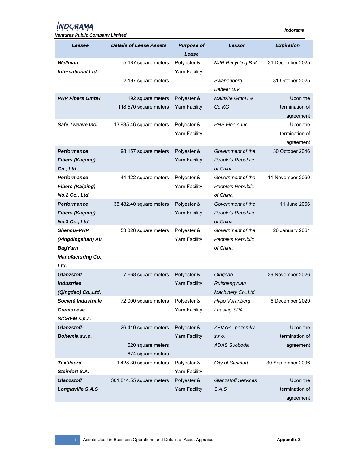| <b>Ventures Public Company Limited</b> |                                |                      |                               |                   |
|----------------------------------------|--------------------------------|----------------------|-------------------------------|-------------------|
| Lessee                                 | <b>Details of Lease Assets</b> | <b>Purpose of</b>    | Lessor                        | <b>Expiration</b> |
| Wellman                                |                                | Lease<br>Polyester & |                               | 31 December 2025  |
| <b>International Ltd.</b>              | 5,187 square meters            | Yarn Facility        | MJR Recycling B.V.            |                   |
|                                        | 2,197 square meters            |                      | Swanenberg                    | 31 October 2025   |
|                                        |                                |                      | Beheer B.V.                   |                   |
| <b>PHP Fibers GmbH</b>                 | 192 square meters              | Polyester &          | Mainsite GmbH &               | Upon the          |
|                                        | 118,570 square meters          | <b>Yarn Facility</b> | Co.KG                         | termination of    |
|                                        |                                |                      |                               | agreement         |
| Safe Tweave Inc.                       | 13,935.46 square meters        | Polyester &          | PHP Fibers Inc.               | Upon the          |
|                                        |                                | Yarn Facility        |                               | termination of    |
|                                        |                                |                      |                               | agreement         |
| Performance                            | 98,157 square meters           | Polyester &          | Government of the             | 30 October 2046   |
| <b>Fibers (Kaiping)</b>                |                                | <b>Yarn Facility</b> | People's Republic             |                   |
| Co., Ltd.                              |                                |                      | of China                      |                   |
| Performance                            | 44,422 square meters           | Polyester &          | Government of the             | 11 November 2060  |
| <b>Fibers (Kaiping)</b>                |                                | <b>Yarn Facility</b> | People's Republic             |                   |
| No.2 Co., Ltd.                         |                                |                      | of China                      |                   |
| <b>Performance</b>                     | 35,482.40 square meters        | Polyester &          | Government of the             | 11 June 2066      |
| <b>Fibers (Kaiping)</b>                |                                | <b>Yarn Facility</b> | People's Republic             |                   |
| No.3 Co., Ltd.                         |                                |                      | of China                      |                   |
| <b>Shenma-PHP</b>                      | 53,328 square meters           | Polyester &          | Government of the             | 26 January 2061   |
| (Pingdingshan) Air<br><b>BagYarn</b>   |                                | <b>Yarn Facility</b> | People's Republic<br>of China |                   |
| <b>Manufacturing Co.,</b>              |                                |                      |                               |                   |
| Ltd.                                   |                                |                      |                               |                   |
| <b>Glanzstoff</b>                      | 7,668 square meters            | Polyester &          | Qingdao                       | 29 November 2026  |
| <b>Industries</b>                      |                                | <b>Yarn Facility</b> | Ruishengyuan                  |                   |
| (Qingdao) Co., Ltd.                    |                                |                      | Machinery Co., Ltd            |                   |
| Società Industriale                    | 72,000 square meters           | Polyester &          | Hypo Vorarlberg               | 6 December 2029   |
| <b>Cremonese</b>                       |                                | <b>Yarn Facility</b> | Leasing SPA                   |                   |
| SICREM s.p.a.                          |                                |                      |                               |                   |
| Glanzstoff-                            | 26,410 square meters           | Polyester &          | ZEVYP - pozemky               | Upon the          |
| Bohemia s.r.o.                         |                                | <b>Yarn Facility</b> | S.r.o.                        | termination of    |
|                                        | 620 square meters              |                      | <b>ADAS Svoboda</b>           | agreement         |
|                                        | 674 square meters              |                      |                               |                   |
| <b>Textilcord</b>                      | 1,428.30 square meters         | Polyester &          | City of Steinfort             | 30 September 2096 |
| <b>Steinfort S.A.</b>                  |                                | <b>Yarn Facility</b> |                               |                   |
| <b>Glanzstoff</b>                      | 301,814.55 square meters       | Polyester &          | <b>Glanzstoff Services</b>    | Upon the          |
| Longlaville S.A.S                      |                                | <b>Yarn Facility</b> | S.A.S                         | termination of    |
|                                        |                                |                      |                               | agreement         |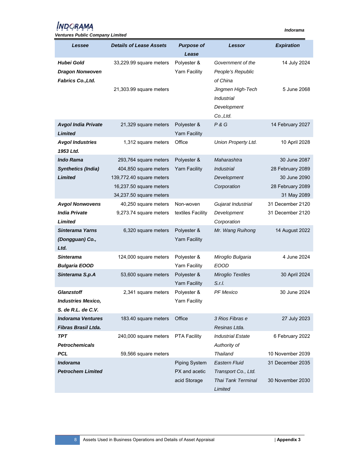| Lessee                                                                     | <b>Details of Lease Assets</b> | <b>Purpose of</b>                   | Lessor                                                     | <b>Expiration</b> |
|----------------------------------------------------------------------------|--------------------------------|-------------------------------------|------------------------------------------------------------|-------------------|
|                                                                            |                                | Lease                               |                                                            |                   |
| Hubei Gold<br><b>Dragon Nonwoven</b><br>Fabrics Co., Ltd.                  | 33,229.99 square meters        | Polyester &<br>Yarn Facility        | Government of the<br>People's Republic<br>of China         | 14 July 2024      |
|                                                                            | 21,303.99 square meters        |                                     | Jingmen High-Tech<br>Industrial<br>Development<br>Co.,Ltd. | 5 June 2068       |
| <b>Avgol India Private</b><br><b>Limited</b>                               | 21,329 square meters           | Polyester &<br><b>Yarn Facility</b> | P & G                                                      | 14 February 2027  |
| <b>Avgol Industries</b><br>1953 Ltd.                                       | 1,312 square meters            | Office                              | Union Property Ltd.                                        | 10 April 2028     |
| Indo Rama                                                                  | 293,764 square meters          | Polyester &                         | Maharashtra                                                | 30 June 2087      |
| <b>Synthetics (India)</b>                                                  | 404,850 square meters          | <b>Yarn Facility</b>                | <i><b>Industrial</b></i>                                   | 28 February 2089  |
| <b>Limited</b>                                                             | 139,772.40 square meters       |                                     | Development                                                | 30 June 2090      |
|                                                                            | 16,237.50 square meters        |                                     | Corporation                                                | 28 February 2089  |
|                                                                            | 34,237.50 square meters        |                                     |                                                            | 31 May 2089       |
| <b>Avgol Nonwovens</b>                                                     | 40,250 square meters           | Non-woven                           | Gujarat Industrial                                         | 31 December 2120  |
| <b>India Private</b>                                                       | 9,273.74 square meters         | textiles Facility                   | Development                                                | 31 December 2120  |
| Limited                                                                    |                                |                                     | Corporation                                                |                   |
| Sinterama Yarns                                                            | 6,320 square meters            | Polyester &                         | Mr. Wang Ruihong                                           | 14 August 2022    |
| (Dongguan) Co.,<br>Ltd.                                                    |                                | <b>Yarn Facility</b>                |                                                            |                   |
| <b>Sinterama</b>                                                           | 124,000 square meters          | Polyester &                         | Miroglio Bulgaria                                          | 4 June 2024       |
| <b>Bulgaria EOOD</b>                                                       |                                | Yarn Facility                       | <b>EOOD</b>                                                |                   |
| Sinterama S.p.A                                                            | 53,600 square meters           | Polyester &<br><b>Yarn Facility</b> | Miroglio Textiles<br>S.r.l.                                | 30 April 2024     |
| <b>Glanzstoff</b><br><b>Industries Mexico,</b><br>$S.$ de $R.L.$ de $C.V.$ | 2,341 square meters            | Polyester &<br>Yarn Facility        | <b>PF Mexico</b>                                           | 30 June 2024      |
| <b>Indorama Ventures</b><br>Fibras Brasil Ltda.                            | 183.40 square meters           | Office                              | 3 Rios Fibras e<br>Resinas Ltda.                           | 27 July 2023      |
| TPT<br><b>Petrochemicals</b>                                               | 240,000 square meters          | <b>PTA Facility</b>                 | <b>Industrial Estate</b><br>Authority of                   | 6 February 2022   |
| <b>PCL</b>                                                                 | 59,566 square meters           |                                     | Thailand                                                   | 10 November 2039  |
| Indorama                                                                   |                                | <b>Piping System</b>                | <b>Eastern Fluid</b>                                       | 31 December 2035  |
| <b>Petrochem Limited</b>                                                   |                                | PX and acetic<br>acid Storage       | Transport Co., Ltd.<br>Thai Tank Terminal<br>Limited       | 30 November 2030  |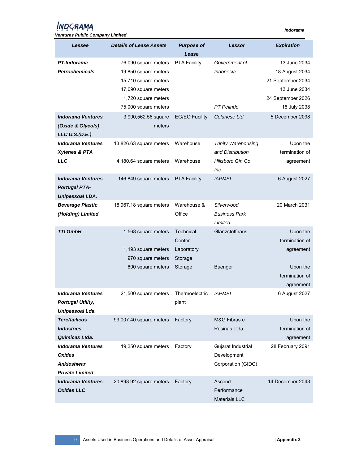## **INDORAMA**

| <b>Ventures Public Company Limited</b> |                                |                       |                            |                   |
|----------------------------------------|--------------------------------|-----------------------|----------------------------|-------------------|
| Lessee                                 | <b>Details of Lease Assets</b> | <b>Purpose of</b>     | Lessor                     | <b>Expiration</b> |
|                                        |                                | Lease                 |                            |                   |
| PT.Indorama                            | 76,090 square meters           | <b>PTA Facility</b>   | Government of              | 13 June 2034      |
| <b>Petrochemicals</b>                  | 19,850 square meters           |                       | Indonesia                  | 18 August 2034    |
|                                        | 15,710 square meters           |                       |                            | 21 September 2034 |
|                                        | 47,090 square meters           |                       |                            | 13 June 2034      |
|                                        | 1,720 square meters            |                       |                            | 24 September 2026 |
|                                        | 75,000 square meters           |                       | PT.Pelindo                 | 18 July 2038      |
| <b>Indorama Ventures</b>               | 3,900,562.56 square            | <b>EG/EO Facility</b> | Celanese Ltd.              | 5 December 2098   |
| (Oxide & Glycols)                      | meters                         |                       |                            |                   |
| LLC U.S.(D.E.)                         |                                |                       |                            |                   |
| <b>Indorama Ventures</b>               | 13,826.63 square meters        | Warehouse             | <b>Trinity Warehousing</b> | Upon the          |
| <b>Xylenes &amp; PTA</b>               |                                |                       | and Distribution           | termination of    |
| <b>LLC</b>                             | 4,180.64 square meters         | Warehouse             | Hillsboro Gin Co<br>Inc.   | agreement         |
| <b>Indorama Ventures</b>               | 146,849 square meters          | <b>PTA Facility</b>   | <b>IAPMEI</b>              | 6 August 2027     |
| <b>Portugal PTA-</b>                   |                                |                       |                            |                   |
| <b>Unipessoal LDA.</b>                 |                                |                       |                            |                   |
| <b>Beverage Plastic</b>                | 18,967.18 square meters        | Warehouse &           | Silverwood                 | 20 March 2031     |
| (Holding) Limited                      |                                | Office                | <b>Business Park</b>       |                   |
|                                        |                                |                       | Limited                    |                   |
| TTI GmbH                               | 1,568 square meters            | Technical             | Glanzstoffhaus             | Upon the          |
|                                        |                                | Center                |                            | termination of    |
|                                        | 1,193 square meters            | Laboratory            |                            | agreement         |
|                                        | 970 square meters              | Storage               |                            |                   |
|                                        | 600 square meters              | Storage               | <b>Buenger</b>             | Upon the          |
|                                        |                                |                       |                            | termination of    |
|                                        |                                |                       |                            | agreement         |
| <b>Indorama Ventures</b>               | 21,500 square meters           | Thermoelectric        | <b>IAPMEI</b>              | 6 August 2027     |
| <b>Portugal Utility,</b>               |                                | plant                 |                            |                   |
| Unipessoal Lda.                        |                                |                       |                            |                   |
| <b>Tereftailicos</b>                   | 99,007.40 square meters        | Factory               | M&G Fibras e               | Upon the          |
| <b>Industries</b>                      |                                |                       | Resinas Ltda.              | termination of    |
| Quimicas Ltda.                         |                                |                       |                            | agreement         |
| <b>Indorama Ventures</b>               | 19,250 square meters           | Factory               | Gujarat Industrial         | 28 February 2091  |
| <b>Oxides</b>                          |                                |                       | Development                |                   |
| Ankleshwar                             |                                |                       | Corporation (GIDC)         |                   |
| <b>Private Limited</b>                 |                                |                       |                            |                   |
| <b>Indorama Ventures</b>               | 20,893.92 square meters        | Factory               | Ascend                     | 14 December 2043  |
| <b>Oxides LLC</b>                      |                                |                       | Performance                |                   |
|                                        |                                |                       | <b>Materials LLC</b>       |                   |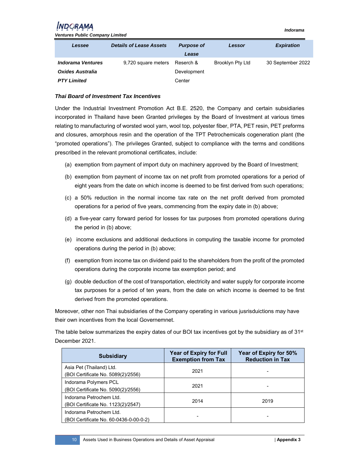*Ventures Public Company Limited* 

| Lessee                   | <b>Details of Lease Assets</b> | <b>Purpose of</b><br>Lease | Lessor           | <b>Expiration</b> |
|--------------------------|--------------------------------|----------------------------|------------------|-------------------|
| <b>Indorama Ventures</b> | 9,720 square meters            | Reserch &                  | Brooklyn Pty Ltd | 30 September 2022 |
| Oxides Australia         |                                | Development                |                  |                   |
| <b>PTY Limited</b>       |                                | Center                     |                  |                   |

#### *Thai Board of Investment Tax Incentives*

Under the Industrial Investment Promotion Act B.E. 2520, the Company and certain subsidiaries incorporated in Thailand have been Granted privileges by the Board of Investment at various times relating to manufacturing of worsted wool yarn, wool top, polyester fiber, PTA, PET resin, PET preforms and closures, amorphous resin and the operation of the TPT Petrochemicals cogeneration plant (the "promoted operations"). The privileges Granted, subject to compliance with the terms and conditions prescribed in the relevant promotional certificates, include:

- (a) exemption from payment of import duty on machinery approved by the Board of Investment;
- (b) exemption from payment of income tax on net profit from promoted operations for a period of eight years from the date on which income is deemed to be first derived from such operations;
- (c) a 50% reduction in the normal income tax rate on the net profit derived from promoted operations for a period of five years, commencing from the expiry date in (b) above;
- (d) a five-year carry forward period for losses for tax purposes from promoted operations during the period in (b) above;
- (e) income exclusions and additional deductions in computing the taxable income for promoted operations during the period in (b) above;
- (f) exemption from income tax on dividend paid to the shareholders from the profit of the promoted operations during the corporate income tax exemption period; and
- (g) double deduction of the cost of transportation, electricity and water supply for corporate income tax purposes for a period of ten years, from the date on which income is deemed to be first derived from the promoted operations.

Moreover, other non Thai subsidiaries of the Company operating in various jusrisduictions may have their own incentives from the local Governemnet.

The table below summarizes the expiry dates of our BOI tax incentives got by the subsidiary as of  $31st$ December 2021.

| <b>Subsidiary</b>                                                 | <b>Year of Expiry for Full</b><br><b>Exemption from Tax</b> | Year of Expiry for 50%<br><b>Reduction in Tax</b> |
|-------------------------------------------------------------------|-------------------------------------------------------------|---------------------------------------------------|
| Asia Pet (Thailand) Ltd.<br>(BOI Certificate No. 5089(2)/2556)    | 2021                                                        |                                                   |
| Indorama Polymers PCL<br>(BOI Certificate No. 5090(2)/2556)       | 2021                                                        |                                                   |
| Indorama Petrochem Ltd.<br>(BOI Certificate No. 1123(2)/2547)     | 2014                                                        | 2019                                              |
| Indorama Petrochem Ltd.<br>(BOI Certificate No. 60-0436-0-00-0-2) |                                                             |                                                   |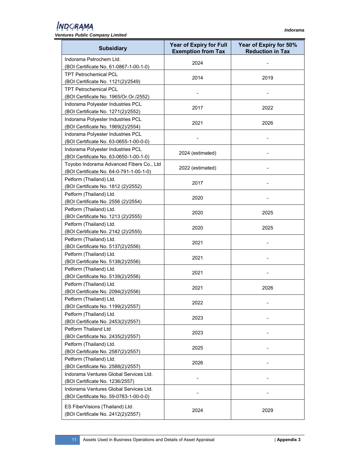| <b>Ventures Public Company Limited</b>   |                                                             |                                                   |
|------------------------------------------|-------------------------------------------------------------|---------------------------------------------------|
| <b>Subsidiary</b>                        | <b>Year of Expiry for Full</b><br><b>Exemption from Tax</b> | Year of Expiry for 50%<br><b>Reduction in Tax</b> |
| Indorama Petrochem Ltd.                  | 2024                                                        |                                                   |
| (BOI Certificate No. 61-0867-1-00-1-0)   |                                                             |                                                   |
| <b>TPT Petrochemical PCL</b>             | 2014                                                        | 2019                                              |
| (BOI Certificate No. 1121(2)/2549)       |                                                             |                                                   |
| <b>TPT Petrochemical PCL</b>             |                                                             |                                                   |
| (BOI Certificate No. 1965/Or.Or./2552)   |                                                             |                                                   |
| Indorama Polyester Industries PCL        |                                                             |                                                   |
| (BOI Certificate No. 1271(2)/2552)       | 2017                                                        | 2022                                              |
| Indorama Polyester Industries PCL        |                                                             |                                                   |
| (BOI Certificate No. 1969(2)/2554)       | 2021                                                        | 2026                                              |
| Indorama Polyester Industries PCL        |                                                             |                                                   |
| (BOI Certificate No. 63-0655-1-00-0-0)   |                                                             |                                                   |
| Indorama Polyester Industries PCL        |                                                             |                                                   |
| (BOI Certificate No. 63-0650-1-00-1-0)   | 2024 (estimated)                                            |                                                   |
| Toyobo Indorama Advanced Fibers Co., Ltd |                                                             |                                                   |
| (BOI Certificate No. 64-0-791-1-00-1-0)  | 2022 (estimated)                                            |                                                   |
| Petform (Thailand) Ltd.                  |                                                             |                                                   |
| (BOI Certificate No. 1812 (2)/2552)      | 2017                                                        |                                                   |
| Petform (Thailand) Ltd.                  |                                                             |                                                   |
|                                          | 2020                                                        |                                                   |
| (BOI Certificate No. 2556 (2)/2554)      |                                                             |                                                   |
| Petform (Thailand) Ltd.                  | 2020                                                        | 2025                                              |
| (BOI Certificate No. 1213 (2)/2555)      |                                                             |                                                   |
| Petform (Thailand) Ltd.                  | 2020                                                        | 2025                                              |
| (BOI Certificate No. 2142 (2)/2555)      |                                                             |                                                   |
| Petform (Thailand) Ltd.                  | 2021                                                        |                                                   |
| (BOI Certificate No. 5137(2)/2556)       |                                                             |                                                   |
| Petform (Thailand) Ltd.                  | 2021                                                        |                                                   |
| (BOI Certificate No. 5138(2)/2556)       |                                                             |                                                   |
| Petform (Thailand) Ltd.                  | 2021                                                        |                                                   |
| (BOI Certificate No. 5139(2)/2556)       |                                                             |                                                   |
| Petform (Thailand) Ltd.                  |                                                             |                                                   |
| (BOI Certificate No. 2094(2)/2556)       | 2021                                                        | 2026                                              |
| Petform (Thailand) Ltd.                  |                                                             |                                                   |
| (BOI Certificate No. 1199(2)/2557)       | 2022                                                        |                                                   |
| Petform (Thailand) Ltd.                  |                                                             |                                                   |
| (BOI Certificate No. 2453(2)/2557)       | 2023                                                        |                                                   |
| Petform Thailand Ltd                     |                                                             |                                                   |
| (BOI Certificate No. 2435(2)/2557)       | 2023                                                        |                                                   |
| Petform (Thailand) Ltd.                  |                                                             |                                                   |
| (BOI Certificate No. 2587(2)/2557)       | 2025                                                        |                                                   |
| Petform (Thailand) Ltd.                  |                                                             |                                                   |
| (BOI Certificate No. 2588(2)/2557)       | 2026                                                        |                                                   |
|                                          |                                                             |                                                   |
| Indorama Ventures Global Services Ltd.   |                                                             |                                                   |
| (BOI Certificate No. 1236/2557)          |                                                             |                                                   |
| Indorama Ventures Global Services Ltd.   |                                                             |                                                   |
| (BOI Certificate No. 59-0783-1-00-0-0)   |                                                             |                                                   |
| ES FiberVisions (Thailand) Ltd.          |                                                             |                                                   |
| (BOI Certificate No. 2412(2)/2557)       | 2024                                                        | 2029                                              |